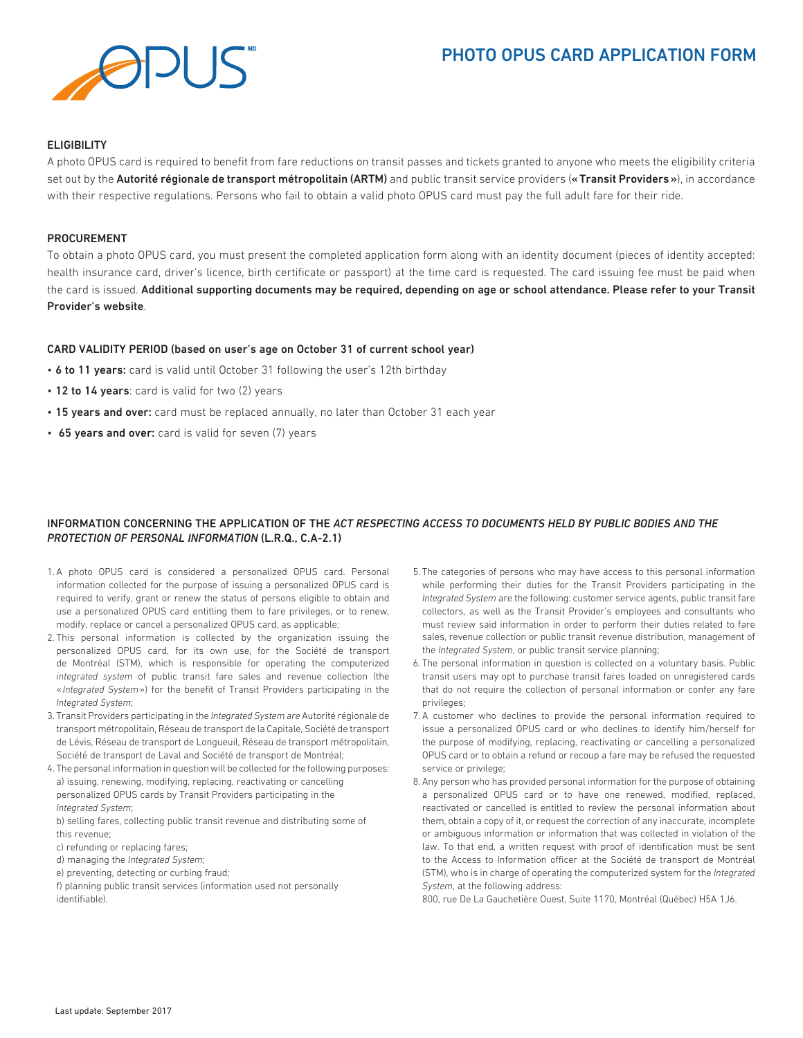# PHOTO OPUS CARD APPLICATION FORM



## **ELIGIBILITY**

A photo OPUS card is required to benefit from fare reductions on transit passes and tickets granted to anyone who meets the eligibility criteria set out by the Autorité régionale de transport métropolitain (ARTM) and public transit service providers («Transit Providers»), in accordance with their respective regulations. Persons who fail to obtain a valid photo OPUS card must pay the full adult fare for their ride.

## PROCUREMENT

To obtain a photo OPUS card, you must present the completed application form along with an identity document (pieces of identity accepted: health insurance card, driver's licence, birth certificate or passport) at the time card is requested. The card issuing fee must be paid when the card is issued. Additional supporting documents may be required, depending on age or school attendance. Please refer to your Transit Provider's website.

## CARD VALIDITY PERIOD (based on user's age on October 31 of current school year)

- 6 to 11 years: card is valid until October 31 following the user's 12th birthday
- 12 to 14 years: card is valid for two (2) years
- 15 years and over: card must be replaced annually, no later than October 31 each year
- 65 years and over: card is valid for seven (7) years

## INFORMATION CONCERNING THE APPLICATION OF THE *ACT RESPECTING ACCESS TO DOCUMENTS HELD BY PUBLIC BODIES AND THE PROTECTION OF PERSONAL INFORMATION* (L.R.Q., C.A-2.1)

- 1. A photo OPUS card is considered a personalized OPUS card. Personal information collected for the purpose of issuing a personalized OPUS card is required to verify, grant or renew the status of persons eligible to obtain and use a personalized OPUS card entitling them to fare privileges, or to renew, modify, replace or cancel a personalized OPUS card, as applicable;
- 2. This personal information is collected by the organization issuing the personalized OPUS card, for its own use, for the Société de transport de Montréal (STM), which is responsible for operating the computerized *integrated system* of public transit fare sales and revenue collection (the «*Integrated System*») for the benefit of Transit Providers participating in the *Integrated System*;
- 3. Transit Providers participating in the *Integrated System are* Autorité régionale de transport métropolitain, Réseau de transport de la Capitale, Société de transport de Lévis, Réseau de transport de Longueuil, Réseau de transport métropolitain, Société de transport de Laval and Société de transport de Montréal;
- 4. The personal information in question will be collected for the following purposes: a) issuing, renewing, modifying, replacing, reactivating or cancelling personalized OPUS cards by Transit Providers participating in the *Integrated System*;

b) selling fares, collecting public transit revenue and distributing some of this revenue;

- c) refunding or replacing fares;
- d) managing the *Integrated System*;
- e) preventing, detecting or curbing fraud;
- f) planning public transit services (information used not personally identifiable).
- 5. The categories of persons who may have access to this personal information while performing their duties for the Transit Providers participating in the *Integrated System* are the following: customer service agents, public transit fare collectors, as well as the Transit Provider's employees and consultants who must review said information in order to perform their duties related to fare sales, revenue collection or public transit revenue distribution, management of the *Integrated System*, or public transit service planning;
- 6. The personal information in question is collected on a voluntary basis. Public transit users may opt to purchase transit fares loaded on unregistered cards that do not require the collection of personal information or confer any fare privileges;
- 7. A customer who declines to provide the personal information required to issue a personalized OPUS card or who declines to identify him/herself for the purpose of modifying, replacing, reactivating or cancelling a personalized OPUS card or to obtain a refund or recoup a fare may be refused the requested service or privilege;
- 8. Any person who has provided personal information for the purpose of obtaining a personalized OPUS card or to have one renewed, modified, replaced, reactivated or cancelled is entitled to review the personal information about them, obtain a copy of it, or request the correction of any inaccurate, incomplete or ambiguous information or information that was collected in violation of the law. To that end, a written request with proof of identification must be sent to the Access to Information officer at the Société de transport de Montréal (STM), who is in charge of operating the computerized system for the *Integrated System*, at the following address:

800, rue De La Gauchetière Ouest, Suite 1170, Montréal (Québec) H5A 1J6.